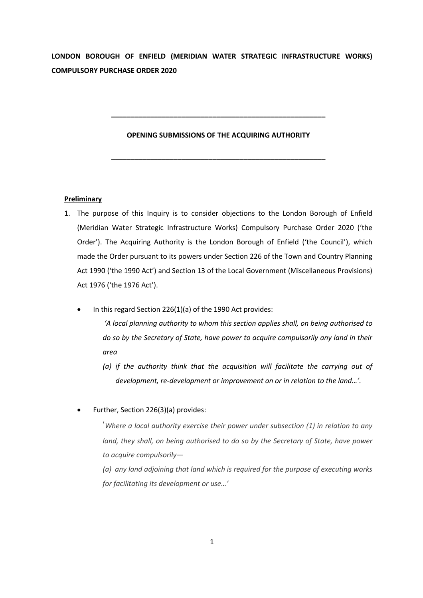**LONDON BOROUGH OF ENFIELD (MERIDIAN WATER STRATEGIC INFRASTRUCTURE WORKS) COMPULSORY PURCHASE ORDER 2020**

### **OPENING SUBMISSIONS OF THE ACQUIRING AUTHORITY**

**\_\_\_\_\_\_\_\_\_\_\_\_\_\_\_\_\_\_\_\_\_\_\_\_\_\_\_\_\_\_\_\_\_\_\_\_\_\_\_\_\_\_\_\_\_\_\_\_\_\_\_\_\_\_\_**

**\_\_\_\_\_\_\_\_\_\_\_\_\_\_\_\_\_\_\_\_\_\_\_\_\_\_\_\_\_\_\_\_\_\_\_\_\_\_\_\_\_\_\_\_\_\_\_\_\_\_\_\_\_\_\_**

# **Preliminary**

- 1. The purpose of this Inquiry is to consider objections to the London Borough of Enfield (Meridian Water Strategic Infrastructure Works) Compulsory Purchase Order 2020 ('the Order'). The Acquiring Authority is the London Borough of Enfield ('the Council'), which made the Order pursuant to its powers under Section 226 of the Town and Country Planning Act 1990 ('the 1990 Act') and Section 13 of the Local Government (Miscellaneous Provisions) Act 1976 ('the 1976 Act').
	- In this regard Section 226(1)(a) of the 1990 Act provides:

*'A local planning authority to whom this section applies shall, on being authorised to do so by the Secretary of State, have power to acquire compulsorily any land in their area*

*(a) if the authority think that the acquisition will facilitate the carrying out of development, re-development or improvement on or in relation to the land…'.*

• Further, Section 226(3)(a) provides:

'*Where a local authority exercise their power under subsection (1) in relation to any land, they shall, on being authorised to do so by the Secretary of State, have power to acquire compulsorily—*

*(a) any land adjoining that land which is required for the purpose of executing works for facilitating its development or use…'*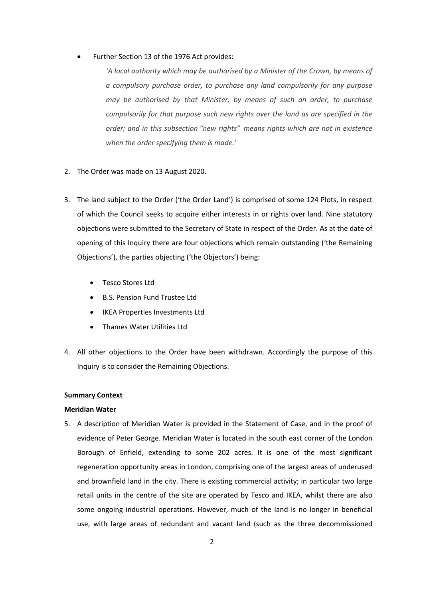### • Further Section 13 of the 1976 Act provides:

*'A local authority which may be authorised by a Minister of the Crown, by means of a compulsory purchase order, to purchase any land compulsorily for any purpose may be authorised by that Minister, by means of such an order, to purchase compulsorily for that purpose such new rights over the land as are specified in the order; and in this subsection "new rights" means rights which are not in existence when the order specifying them is made.'*

- 2. The Order was made on 13 August 2020.
- 3. The land subject to the Order ('the Order Land') is comprised of some 124 Plots, in respect of which the Council seeks to acquire either interests in or rights over land. Nine statutory objections were submitted to the Secretary of State in respect of the Order. As at the date of opening of this Inquiry there are four objections which remain outstanding ('the Remaining Objections'), the parties objecting ('the Objectors') being:
	- Tesco Stores Ltd
	- B.S. Pension Fund Trustee Ltd
	- IKEA Properties Investments Ltd
	- Thames Water Utilities Ltd
- 4. All other objections to the Order have been withdrawn. Accordingly the purpose of this Inquiry is to consider the Remaining Objections.

### **Summary Context**

## **Meridian Water**

5. A description of Meridian Water is provided in the Statement of Case, and in the proof of evidence of Peter George. Meridian Water is located in the south east corner of the London Borough of Enfield, extending to some 202 acres. It is one of the most significant regeneration opportunity areas in London, comprising one of the largest areas of underused and brownfield land in the city. There is existing commercial activity; in particular two large retail units in the centre of the site are operated by Tesco and IKEA, whilst there are also some ongoing industrial operations. However, much of the land is no longer in beneficial use, with large areas of redundant and vacant land (such as the three decommissioned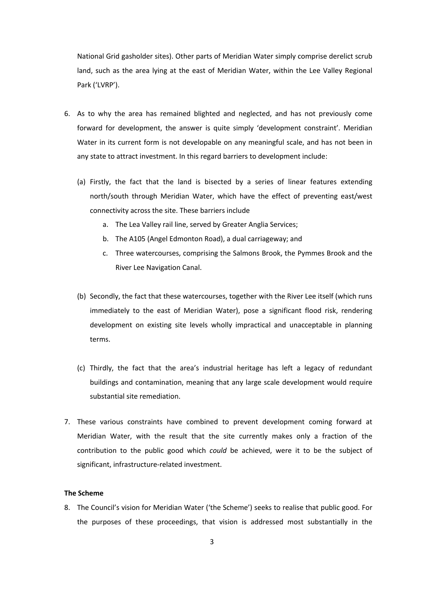National Grid gasholder sites). Other parts of Meridian Water simply comprise derelict scrub land, such as the area lying at the east of Meridian Water, within the Lee Valley Regional Park ('LVRP').

- 6. As to why the area has remained blighted and neglected, and has not previously come forward for development, the answer is quite simply 'development constraint'. Meridian Water in its current form is not developable on any meaningful scale, and has not been in any state to attract investment. In this regard barriers to development include:
	- (a) Firstly, the fact that the land is bisected by a series of linear features extending north/south through Meridian Water, which have the effect of preventing east/west connectivity across the site. These barriers include
		- a. The Lea Valley rail line, served by Greater Anglia Services;
		- b. The A105 (Angel Edmonton Road), a dual carriageway; and
		- c. Three watercourses, comprising the Salmons Brook, the Pymmes Brook and the River Lee Navigation Canal.
	- (b) Secondly, the fact that these watercourses, together with the River Lee itself (which runs immediately to the east of Meridian Water), pose a significant flood risk, rendering development on existing site levels wholly impractical and unacceptable in planning terms.
	- (c) Thirdly, the fact that the area's industrial heritage has left a legacy of redundant buildings and contamination, meaning that any large scale development would require substantial site remediation.
- 7. These various constraints have combined to prevent development coming forward at Meridian Water, with the result that the site currently makes only a fraction of the contribution to the public good which *could* be achieved, were it to be the subject of significant, infrastructure-related investment.

## **The Scheme**

8. The Council's vision for Meridian Water ('the Scheme') seeks to realise that public good. For the purposes of these proceedings, that vision is addressed most substantially in the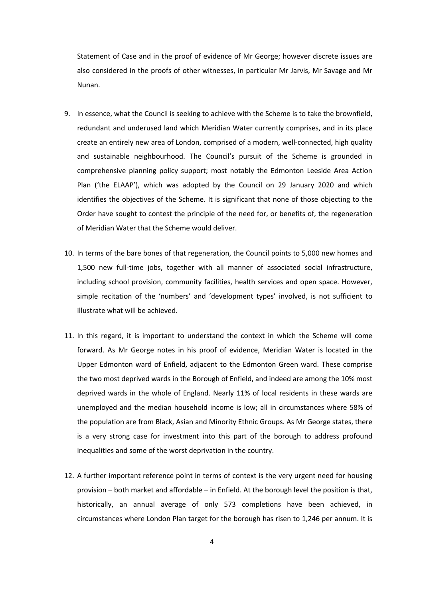Statement of Case and in the proof of evidence of Mr George; however discrete issues are also considered in the proofs of other witnesses, in particular Mr Jarvis, Mr Savage and Mr Nunan.

- 9. In essence, what the Council is seeking to achieve with the Scheme is to take the brownfield, redundant and underused land which Meridian Water currently comprises, and in its place create an entirely new area of London, comprised of a modern, well-connected, high quality and sustainable neighbourhood. The Council's pursuit of the Scheme is grounded in comprehensive planning policy support; most notably the Edmonton Leeside Area Action Plan ('the ELAAP'), which was adopted by the Council on 29 January 2020 and which identifies the objectives of the Scheme. It is significant that none of those objecting to the Order have sought to contest the principle of the need for, or benefits of, the regeneration of Meridian Water that the Scheme would deliver.
- 10. In terms of the bare bones of that regeneration, the Council points to 5,000 new homes and 1,500 new full-time jobs, together with all manner of associated social infrastructure, including school provision, community facilities, health services and open space. However, simple recitation of the 'numbers' and 'development types' involved, is not sufficient to illustrate what will be achieved.
- 11. In this regard, it is important to understand the context in which the Scheme will come forward. As Mr George notes in his proof of evidence, Meridian Water is located in the Upper Edmonton ward of Enfield, adjacent to the Edmonton Green ward. These comprise the two most deprived wards in the Borough of Enfield, and indeed are among the 10% most deprived wards in the whole of England. Nearly 11% of local residents in these wards are unemployed and the median household income is low; all in circumstances where 58% of the population are from Black, Asian and Minority Ethnic Groups. As Mr George states, there is a very strong case for investment into this part of the borough to address profound inequalities and some of the worst deprivation in the country.
- 12. A further important reference point in terms of context is the very urgent need for housing provision – both market and affordable – in Enfield. At the borough level the position is that, historically, an annual average of only 573 completions have been achieved, in circumstances where London Plan target for the borough has risen to 1,246 per annum. It is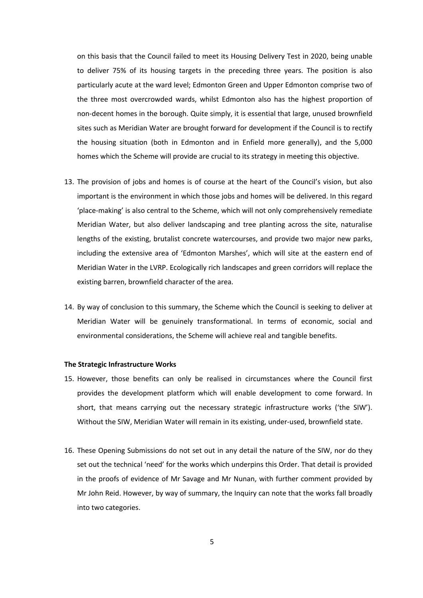on this basis that the Council failed to meet its Housing Delivery Test in 2020, being unable to deliver 75% of its housing targets in the preceding three years. The position is also particularly acute at the ward level; Edmonton Green and Upper Edmonton comprise two of the three most overcrowded wards, whilst Edmonton also has the highest proportion of non-decent homes in the borough. Quite simply, it is essential that large, unused brownfield sites such as Meridian Water are brought forward for development if the Council is to rectify the housing situation (both in Edmonton and in Enfield more generally), and the 5,000 homes which the Scheme will provide are crucial to its strategy in meeting this objective.

- 13. The provision of jobs and homes is of course at the heart of the Council's vision, but also important is the environment in which those jobs and homes will be delivered. In this regard 'place-making' is also central to the Scheme, which will not only comprehensively remediate Meridian Water, but also deliver landscaping and tree planting across the site, naturalise lengths of the existing, brutalist concrete watercourses, and provide two major new parks, including the extensive area of 'Edmonton Marshes', which will site at the eastern end of Meridian Water in the LVRP. Ecologically rich landscapes and green corridors will replace the existing barren, brownfield character of the area.
- 14. By way of conclusion to this summary, the Scheme which the Council is seeking to deliver at Meridian Water will be genuinely transformational. In terms of economic, social and environmental considerations, the Scheme will achieve real and tangible benefits.

### **The Strategic Infrastructure Works**

- 15. However, those benefits can only be realised in circumstances where the Council first provides the development platform which will enable development to come forward. In short, that means carrying out the necessary strategic infrastructure works ('the SIW'). Without the SIW, Meridian Water will remain in its existing, under-used, brownfield state.
- 16. These Opening Submissions do not set out in any detail the nature of the SIW, nor do they set out the technical 'need' for the works which underpins this Order. That detail is provided in the proofs of evidence of Mr Savage and Mr Nunan, with further comment provided by Mr John Reid. However, by way of summary, the Inquiry can note that the works fall broadly into two categories.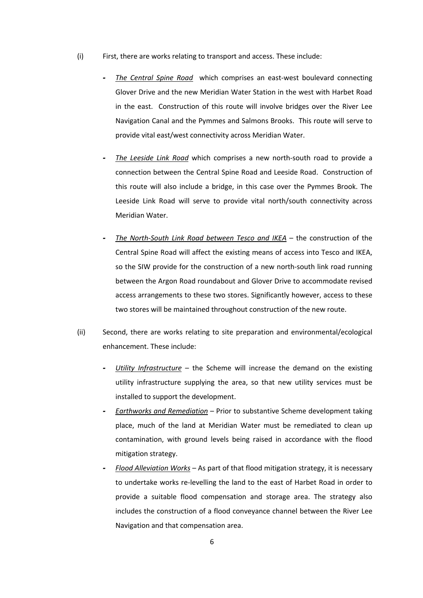- (i) First, there are works relating to transport and access. These include:
	- *- The Central Spine Road* which comprises an east-west boulevard connecting Glover Drive and the new Meridian Water Station in the west with Harbet Road in the east. Construction of this route will involve bridges over the River Lee Navigation Canal and the Pymmes and Salmons Brooks. This route will serve to provide vital east/west connectivity across Meridian Water.
	- *The Leeside Link Road* which comprises a new north-south road to provide a connection between the Central Spine Road and Leeside Road. Construction of this route will also include a bridge, in this case over the Pymmes Brook. The Leeside Link Road will serve to provide vital north/south connectivity across Meridian Water.
	- *- The North-South Link Road between Tesco and IKEA* the construction of the Central Spine Road will affect the existing means of access into Tesco and IKEA, so the SIW provide for the construction of a new north-south link road running between the Argon Road roundabout and Glover Drive to accommodate revised access arrangements to these two stores. Significantly however, access to these two stores will be maintained throughout construction of the new route.
- (ii) Second, there are works relating to site preparation and environmental/ecological enhancement. These include:
	- *Utility Infrastructure* the Scheme will increase the demand on the existing utility infrastructure supplying the area, so that new utility services must be installed to support the development.
	- *- Earthworks and Remediation* Prior to substantive Scheme development taking place, much of the land at Meridian Water must be remediated to clean up contamination, with ground levels being raised in accordance with the flood mitigation strategy.
	- *- Flood Alleviation Works* As part of that flood mitigation strategy, it is necessary to undertake works re-levelling the land to the east of Harbet Road in order to provide a suitable flood compensation and storage area. The strategy also includes the construction of a flood conveyance channel between the River Lee Navigation and that compensation area.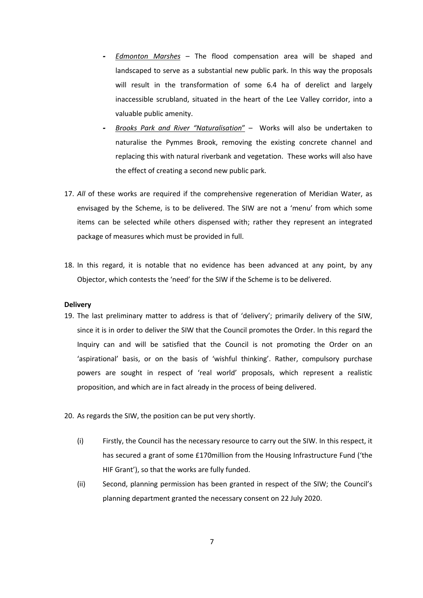- *- Edmonton Marshes* The flood compensation area will be shaped and landscaped to serve as a substantial new public park. In this way the proposals will result in the transformation of some 6.4 ha of derelict and largely inaccessible scrubland, situated in the heart of the Lee Valley corridor, into a valuable public amenity.
- *- Brooks Park and River "Naturalisation*" Works will also be undertaken to naturalise the Pymmes Brook, removing the existing concrete channel and replacing this with natural riverbank and vegetation. These works will also have the effect of creating a second new public park.
- 17. *All* of these works are required if the comprehensive regeneration of Meridian Water, as envisaged by the Scheme, is to be delivered. The SIW are not a 'menu' from which some items can be selected while others dispensed with; rather they represent an integrated package of measures which must be provided in full.
- 18. In this regard, it is notable that no evidence has been advanced at any point, by any Objector, which contests the 'need' for the SIW if the Scheme is to be delivered.

#### **Delivery**

- 19. The last preliminary matter to address is that of 'delivery'; primarily delivery of the SIW, since it is in order to deliver the SIW that the Council promotes the Order. In this regard the Inquiry can and will be satisfied that the Council is not promoting the Order on an 'aspirational' basis, or on the basis of 'wishful thinking'. Rather, compulsory purchase powers are sought in respect of 'real world' proposals, which represent a realistic proposition, and which are in fact already in the process of being delivered.
- 20. As regards the SIW, the position can be put very shortly.
	- (i) Firstly, the Council has the necessary resource to carry out the SIW. In this respect, it has secured a grant of some £170million from the Housing Infrastructure Fund ('the HIF Grant'), so that the works are fully funded.
	- (ii) Second, planning permission has been granted in respect of the SIW; the Council's planning department granted the necessary consent on 22 July 2020.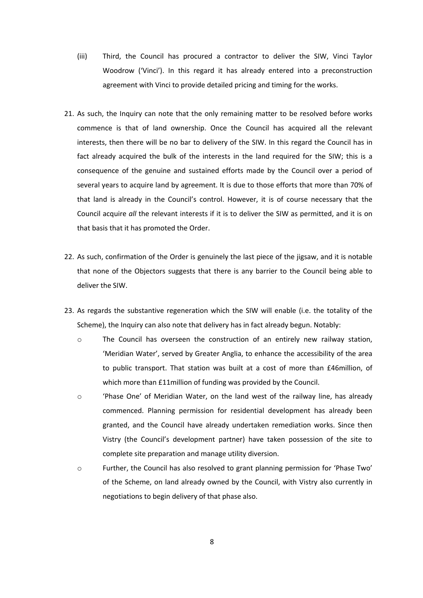- (iii) Third, the Council has procured a contractor to deliver the SIW, Vinci Taylor Woodrow ('Vinci'). In this regard it has already entered into a preconstruction agreement with Vinci to provide detailed pricing and timing for the works.
- 21. As such, the Inquiry can note that the only remaining matter to be resolved before works commence is that of land ownership. Once the Council has acquired all the relevant interests, then there will be no bar to delivery of the SIW. In this regard the Council has in fact already acquired the bulk of the interests in the land required for the SIW; this is a consequence of the genuine and sustained efforts made by the Council over a period of several years to acquire land by agreement. It is due to those efforts that more than 70% of that land is already in the Council's control. However, it is of course necessary that the Council acquire *all* the relevant interests if it is to deliver the SIW as permitted, and it is on that basis that it has promoted the Order.
- 22. As such, confirmation of the Order is genuinely the last piece of the jigsaw, and it is notable that none of the Objectors suggests that there is any barrier to the Council being able to deliver the SIW.
- 23. As regards the substantive regeneration which the SIW will enable (i.e. the totality of the Scheme), the Inquiry can also note that delivery has in fact already begun. Notably:
	- o The Council has overseen the construction of an entirely new railway station, 'Meridian Water', served by Greater Anglia, to enhance the accessibility of the area to public transport. That station was built at a cost of more than £46million, of which more than £11million of funding was provided by the Council.
	- o 'Phase One' of Meridian Water, on the land west of the railway line, has already commenced. Planning permission for residential development has already been granted, and the Council have already undertaken remediation works. Since then Vistry (the Council's development partner) have taken possession of the site to complete site preparation and manage utility diversion.
	- o Further, the Council has also resolved to grant planning permission for 'Phase Two' of the Scheme, on land already owned by the Council, with Vistry also currently in negotiations to begin delivery of that phase also.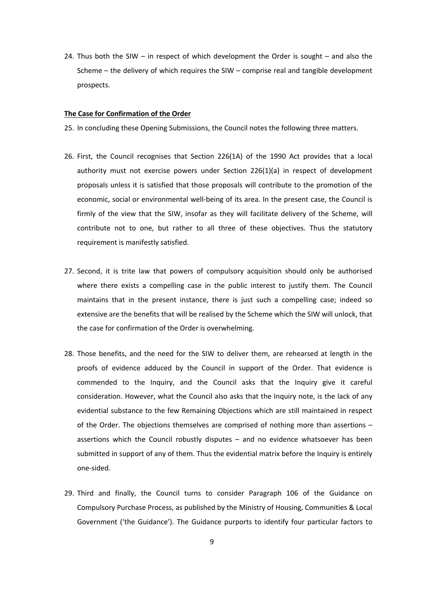24. Thus both the SIW – in respect of which development the Order is sought – and also the Scheme – the delivery of which requires the SIW – comprise real and tangible development prospects.

### **The Case for Confirmation of the Order**

- 25. In concluding these Opening Submissions, the Council notes the following three matters.
- 26. First, the Council recognises that Section 226(1A) of the 1990 Act provides that a local authority must not exercise powers under Section 226(1)(a) in respect of development proposals unless it is satisfied that those proposals will contribute to the promotion of the economic, social or environmental well-being of its area. In the present case, the Council is firmly of the view that the SIW, insofar as they will facilitate delivery of the Scheme, will contribute not to one, but rather to all three of these objectives. Thus the statutory requirement is manifestly satisfied.
- 27. Second, it is trite law that powers of compulsory acquisition should only be authorised where there exists a compelling case in the public interest to justify them. The Council maintains that in the present instance, there is just such a compelling case; indeed so extensive are the benefits that will be realised by the Scheme which the SIW will unlock, that the case for confirmation of the Order is overwhelming.
- 28. Those benefits, and the need for the SIW to deliver them, are rehearsed at length in the proofs of evidence adduced by the Council in support of the Order. That evidence is commended to the Inquiry, and the Council asks that the Inquiry give it careful consideration. However, what the Council also asks that the Inquiry note, is the lack of any evidential substance to the few Remaining Objections which are still maintained in respect of the Order. The objections themselves are comprised of nothing more than assertions – assertions which the Council robustly disputes – and no evidence whatsoever has been submitted in support of any of them. Thus the evidential matrix before the Inquiry is entirely one-sided.
- 29. Third and finally, the Council turns to consider Paragraph 106 of the Guidance on Compulsory Purchase Process, as published by the Ministry of Housing, Communities & Local Government ('the Guidance'). The Guidance purports to identify four particular factors to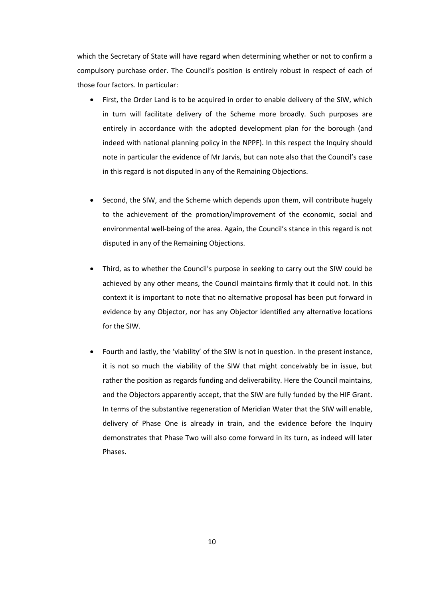which the Secretary of State will have regard when determining whether or not to confirm a compulsory purchase order. The Council's position is entirely robust in respect of each of those four factors. In particular:

- First, the Order Land is to be acquired in order to enable delivery of the SIW, which in turn will facilitate delivery of the Scheme more broadly. Such purposes are entirely in accordance with the adopted development plan for the borough (and indeed with national planning policy in the NPPF). In this respect the Inquiry should note in particular the evidence of Mr Jarvis, but can note also that the Council's case in this regard is not disputed in any of the Remaining Objections.
- Second, the SIW, and the Scheme which depends upon them, will contribute hugely to the achievement of the promotion/improvement of the economic, social and environmental well-being of the area. Again, the Council's stance in this regard is not disputed in any of the Remaining Objections.
- Third, as to whether the Council's purpose in seeking to carry out the SIW could be achieved by any other means, the Council maintains firmly that it could not. In this context it is important to note that no alternative proposal has been put forward in evidence by any Objector, nor has any Objector identified any alternative locations for the SIW.
- Fourth and lastly, the 'viability' of the SIW is not in question. In the present instance, it is not so much the viability of the SIW that might conceivably be in issue, but rather the position as regards funding and deliverability. Here the Council maintains, and the Objectors apparently accept, that the SIW are fully funded by the HIF Grant. In terms of the substantive regeneration of Meridian Water that the SIW will enable, delivery of Phase One is already in train, and the evidence before the Inquiry demonstrates that Phase Two will also come forward in its turn, as indeed will later Phases.